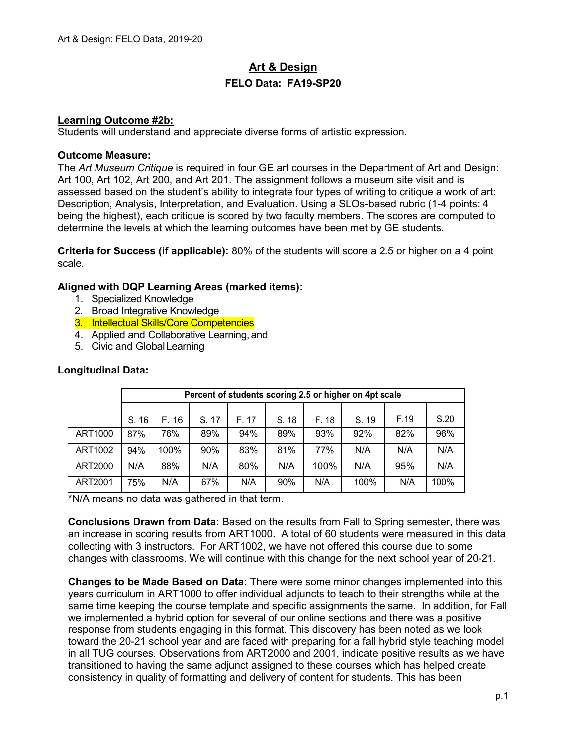# **Art & Design FELO Data: FA19-SP20**

### **Learning Outcome #2b:**

Students will understand and appreciate diverse forms of artistic expression.

#### **Outcome Measure:**

The *Art Museum Critique* is required in four GE art courses in the Department of Art and Design: Art 100, Art 102, Art 200, and Art 201. The assignment follows a museum site visit and is assessed based on the student's ability to integrate four types of writing to critique a work of art: Description, Analysis, Interpretation, and Evaluation. Using a SLOs-based rubric (1-4 points: 4 being the highest), each critique is scored by two faculty members. The scores are computed to determine the levels at which the learning outcomes have been met by GE students.

**Criteria for Success (if applicable):** 80% of the students will score a 2.5 or higher on a 4 point scale.

# **Aligned with DQP Learning Areas (marked items):**

- 1. Specialized Knowledge
- 2. Broad Integrative Knowledge
- 3. Intellectual Skills/Core Competencies
- 4. Applied and Collaborative Learning, and
- 5. Civic and GlobalLearning

|         | Percent of students scoring 2.5 or higher on 4pt scale |       |       |       |       |       |       |      |      |
|---------|--------------------------------------------------------|-------|-------|-------|-------|-------|-------|------|------|
|         |                                                        |       |       |       |       |       |       |      |      |
|         | S. 16                                                  | F. 16 | S. 17 | F. 17 | S. 18 | F. 18 | S. 19 | F.19 | S.20 |
| ART1000 | 87%                                                    | 76%   | 89%   | 94%   | 89%   | 93%   | 92%   | 82%  | 96%  |
| ART1002 | 94%                                                    | 100%  | 90%   | 83%   | 81%   | 77%   | N/A   | N/A  | N/A  |
| ART2000 | N/A                                                    | 88%   | N/A   | 80%   | N/A   | 100%  | N/A   | 95%  | N/A  |
| ART2001 | 75%                                                    | N/A   | 67%   | N/A   | 90%   | N/A   | 100%  | N/A  | 100% |

### **Longitudinal Data:**

\*N/A means no data was gathered in that term.

**Conclusions Drawn from Data:** Based on the results from Fall to Spring semester, there was an increase in scoring results from ART1000. A total of 60 students were measured in this data collecting with 3 instructors. For ART1002, we have not offered this course due to some changes with classrooms. We will continue with this change for the next school year of 20-21.

**Changes to be Made Based on Data:** There were some minor changes implemented into this years curriculum in ART1000 to offer individual adjuncts to teach to their strengths while at the same time keeping the course template and specific assignments the same. In addition, for Fall we implemented a hybrid option for several of our online sections and there was a positive response from students engaging in this format. This discovery has been noted as we look toward the 20-21 school year and are faced with preparing for a fall hybrid style teaching model in all TUG courses. Observations from ART2000 and 2001, indicate positive results as we have transitioned to having the same adjunct assigned to these courses which has helped create consistency in quality of formatting and delivery of content for students. This has been